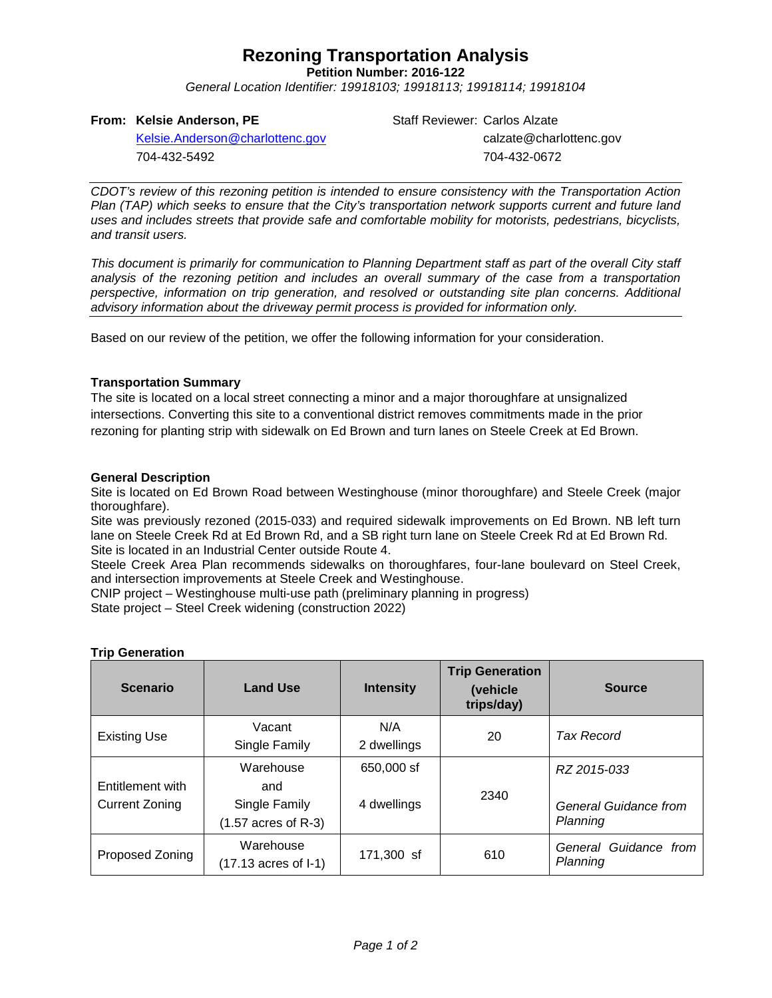# **Rezoning Transportation Analysis**

**Petition Number: 2016-122**

*General Location Identifier: 19918103; 19918113; 19918114; 19918104*

## **From: Kelsie Anderson, PE**

Staff Reviewer: Carlos Alzate calzate@charlottenc.gov 704-432-0672

[Kelsie.Anderson@charlottenc.gov](mailto:Kelsie.Anderson@charlottenc.gov) 704-432-5492

*CDOT's review of this rezoning petition is intended to ensure consistency with the Transportation Action Plan (TAP) which seeks to ensure that the City's transportation network supports current and future land uses and includes streets that provide safe and comfortable mobility for motorists, pedestrians, bicyclists, and transit users.*

*This document is primarily for communication to Planning Department staff as part of the overall City staff analysis of the rezoning petition and includes an overall summary of the case from a transportation perspective, information on trip generation, and resolved or outstanding site plan concerns. Additional advisory information about the driveway permit process is provided for information only.*

Based on our review of the petition, we offer the following information for your consideration.

## **Transportation Summary**

The site is located on a local street connecting a minor and a major thoroughfare at unsignalized intersections. Converting this site to a conventional district removes commitments made in the prior rezoning for planting strip with sidewalk on Ed Brown and turn lanes on Steele Creek at Ed Brown.

## **General Description**

Site is located on Ed Brown Road between Westinghouse (minor thoroughfare) and Steele Creek (major thoroughfare).

Site was previously rezoned (2015-033) and required sidewalk improvements on Ed Brown. NB left turn lane on Steele Creek Rd at Ed Brown Rd, and a SB right turn lane on Steele Creek Rd at Ed Brown Rd. Site is located in an Industrial Center outside Route 4.

Steele Creek Area Plan recommends sidewalks on thoroughfares, four-lane boulevard on Steel Creek, and intersection improvements at Steele Creek and Westinghouse.

CNIP project – Westinghouse multi-use path (preliminary planning in progress) State project – Steel Creek widening (construction 2022)

| <b>Scenario</b>                           | <b>Land Use</b>                                                    | <b>Intensity</b>          | <b>Trip Generation</b><br>(vehicle<br>trips/day) | <b>Source</b>                                    |
|-------------------------------------------|--------------------------------------------------------------------|---------------------------|--------------------------------------------------|--------------------------------------------------|
| <b>Existing Use</b>                       | Vacant<br>Single Family                                            | N/A<br>2 dwellings        | 20                                               | Tax Record                                       |
| Entitlement with<br><b>Current Zoning</b> | Warehouse<br>and<br>Single Family<br>$(1.57 \text{ acres of R-3})$ | 650,000 sf<br>4 dwellings | 2340                                             | RZ 2015-033<br>General Guidance from<br>Planning |
| Proposed Zoning                           | Warehouse<br>(17.13 acres of I-1)                                  | 171,300 sf                | 610                                              | General Guidance from<br>Planning                |

## **Trip Generation**